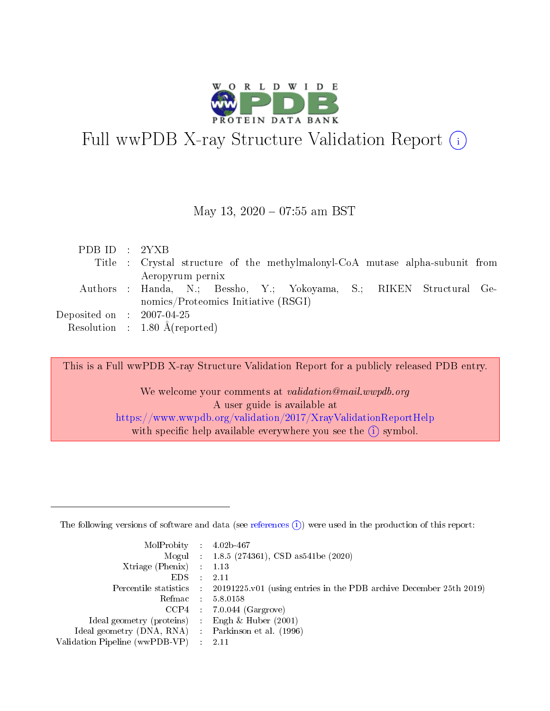

# Full wwPDB X-ray Structure Validation Report  $(i)$

#### May 13,  $2020 - 07:55$  am BST

| PDB ID : 2YXB               |                                                                              |
|-----------------------------|------------------------------------------------------------------------------|
|                             | Title : Crystal structure of the methylmalonyl-CoA mutase alpha-subunit from |
|                             | Aeropyrum pernix                                                             |
|                             | Authors : Handa, N.; Bessho, Y.; Yokoyama, S.; RIKEN Structural Ge-          |
|                             | nomics/Proteomics Initiative $(RSGI)$                                        |
| Deposited on : $2007-04-25$ |                                                                              |
|                             | Resolution : $1.80 \text{ Å}$ (reported)                                     |

This is a Full wwPDB X-ray Structure Validation Report for a publicly released PDB entry.

We welcome your comments at validation@mail.wwpdb.org A user guide is available at <https://www.wwpdb.org/validation/2017/XrayValidationReportHelp> with specific help available everywhere you see the  $(i)$  symbol.

The following versions of software and data (see [references](https://www.wwpdb.org/validation/2017/XrayValidationReportHelp#references)  $(1)$ ) were used in the production of this report:

| $MolProbability$ : 4.02b-467                        |                                                                                            |
|-----------------------------------------------------|--------------------------------------------------------------------------------------------|
|                                                     | Mogul : 1.8.5 (274361), CSD as 541be (2020)                                                |
| Xtriage (Phenix) $: 1.13$                           |                                                                                            |
| EDS :                                               | -2.11                                                                                      |
|                                                     | Percentile statistics : 20191225.v01 (using entries in the PDB archive December 25th 2019) |
| Refmac 58.0158                                      |                                                                                            |
|                                                     | $CCP4$ 7.0.044 (Gargrove)                                                                  |
| Ideal geometry (proteins) : Engh $\&$ Huber (2001)  |                                                                                            |
| Ideal geometry (DNA, RNA) : Parkinson et al. (1996) |                                                                                            |
| Validation Pipeline (wwPDB-VP) : 2.11               |                                                                                            |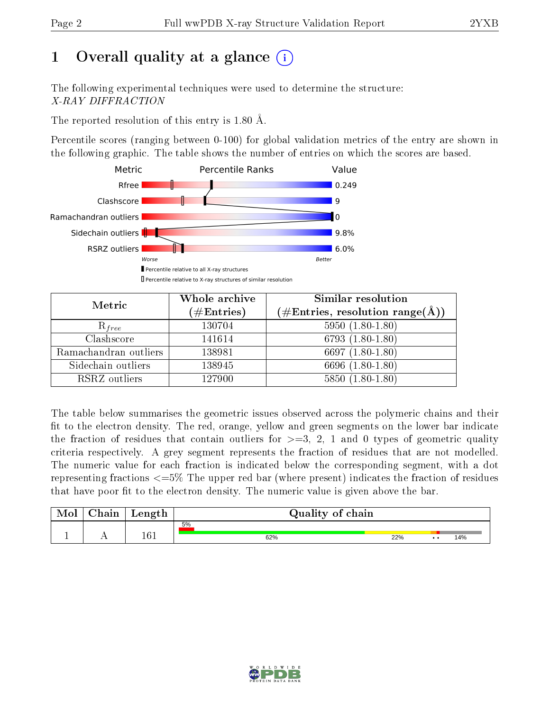# 1 [O](https://www.wwpdb.org/validation/2017/XrayValidationReportHelp#overall_quality)verall quality at a glance  $(i)$

The following experimental techniques were used to determine the structure: X-RAY DIFFRACTION

The reported resolution of this entry is 1.80 Å.

Percentile scores (ranging between 0-100) for global validation metrics of the entry are shown in the following graphic. The table shows the number of entries on which the scores are based.



| Metric                | Whole archive        | <b>Similar resolution</b>                                              |
|-----------------------|----------------------|------------------------------------------------------------------------|
|                       | $(\#\text{Entries})$ | $(\#\text{Entries},\,\text{resolution}\,\,\text{range}(\textup{\AA}))$ |
| $R_{free}$            | 130704               | $5950(1.80-1.80)$                                                      |
| Clashscore            | 141614               | $6793(1.80-1.80)$                                                      |
| Ramachandran outliers | 138981               | 6697 $(1.80-1.80)$                                                     |
| Sidechain outliers    | 138945               | 6696 (1.80-1.80)                                                       |
| RSRZ outliers         | 127900               | $5850(1.80-1.80)$                                                      |

The table below summarises the geometric issues observed across the polymeric chains and their fit to the electron density. The red, orange, yellow and green segments on the lower bar indicate the fraction of residues that contain outliers for  $>=3, 2, 1$  and 0 types of geometric quality criteria respectively. A grey segment represents the fraction of residues that are not modelled. The numeric value for each fraction is indicated below the corresponding segment, with a dot representing fractions <=5% The upper red bar (where present) indicates the fraction of residues that have poor fit to the electron density. The numeric value is given above the bar.

| Mol | $\cap$ hain | Length  | Quality of chain |     |                 |     |  |  |  |
|-----|-------------|---------|------------------|-----|-----------------|-----|--|--|--|
|     |             |         | 5%               |     |                 |     |  |  |  |
| л.  | . .         | $161\,$ | 62%              | 22% | $\cdot$ $\cdot$ | 14% |  |  |  |

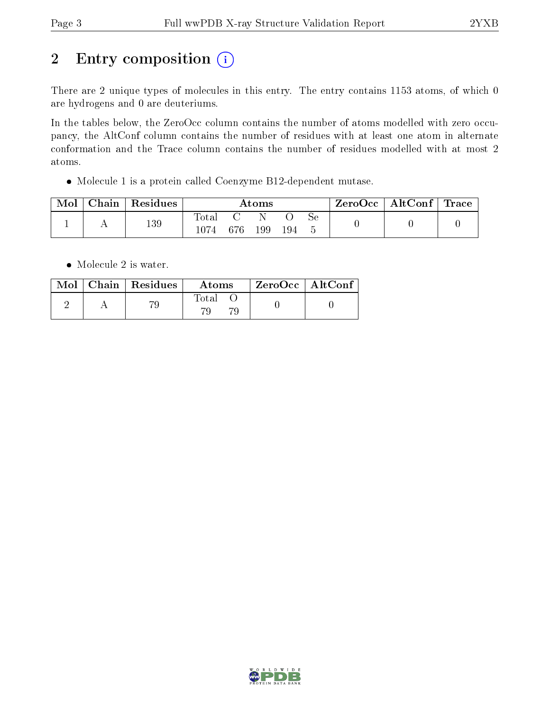# 2 Entry composition (i)

There are 2 unique types of molecules in this entry. The entry contains 1153 atoms, of which 0 are hydrogens and 0 are deuteriums.

In the tables below, the ZeroOcc column contains the number of atoms modelled with zero occupancy, the AltConf column contains the number of residues with at least one atom in alternate conformation and the Trace column contains the number of residues modelled with at most 2 atoms.

Molecule 1 is a protein called Coenzyme B12-dependent mutase.

| Mol | $\cap$ hain | Residues | Atoms                  |     |     | $\rm ZeroOcc$   AltConf   Trace |    |  |  |
|-----|-------------|----------|------------------------|-----|-----|---------------------------------|----|--|--|
|     |             | 139      | $\text{Total}$<br>1074 | 676 | 199 | 194                             | Sе |  |  |

• Molecule 2 is water.

|  | $Mol$   Chain   Residues | Atoms | $^{\shortmid}$ ZeroOcc $\mid$ AltConf $_{\shortmid}$ |  |
|--|--------------------------|-------|------------------------------------------------------|--|
|  |                          | Total |                                                      |  |

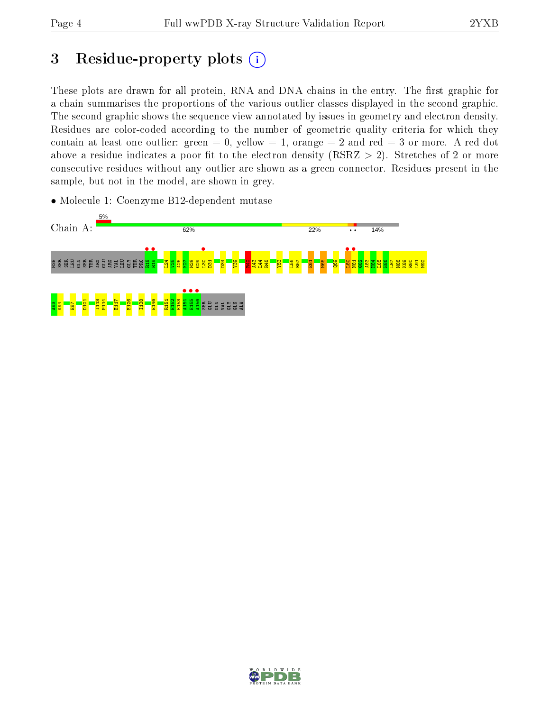## 3 Residue-property plots  $(i)$

These plots are drawn for all protein, RNA and DNA chains in the entry. The first graphic for a chain summarises the proportions of the various outlier classes displayed in the second graphic. The second graphic shows the sequence view annotated by issues in geometry and electron density. Residues are color-coded according to the number of geometric quality criteria for which they contain at least one outlier: green  $= 0$ , yellow  $= 1$ , orange  $= 2$  and red  $= 3$  or more. A red dot above a residue indicates a poor fit to the electron density (RSRZ  $> 2$ ). Stretches of 2 or more consecutive residues without any outlier are shown as a green connector. Residues present in the sample, but not in the model, are shown in grey.

• Molecule 1: Coenzyme B12-dependent mutase



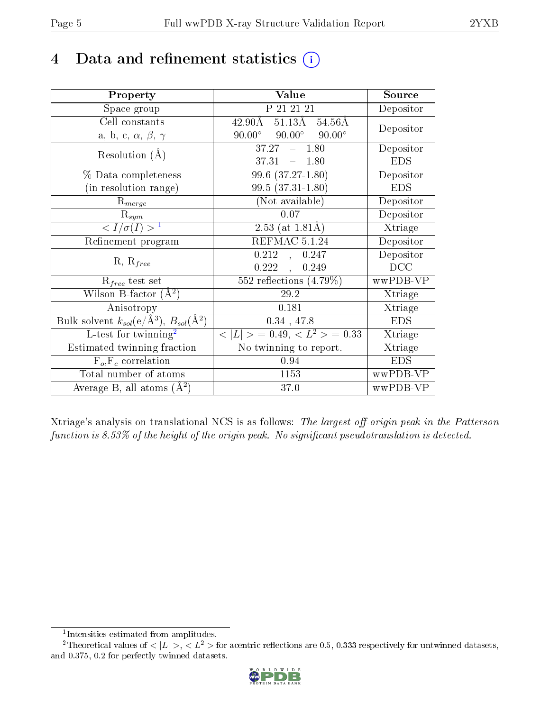## 4 Data and refinement statistics  $(i)$

| Property                                                         | Value                                                  | Source     |
|------------------------------------------------------------------|--------------------------------------------------------|------------|
| Space group                                                      | P 21 21 21                                             | Depositor  |
| Cell constants                                                   | $42.90\overline{\text{A}}$<br>$51.13\text{\AA}$ 54.56Å | Depositor  |
| a, b, c, $\alpha$ , $\beta$ , $\gamma$                           | $90.00^{\circ}$<br>$90.00^{\circ}$<br>$90.00^\circ$    |            |
| Resolution $(A)$                                                 | 37.27<br>$-1.80$                                       | Depositor  |
|                                                                  | $37.31 - 1.80$                                         | <b>EDS</b> |
| $\%$ Data completeness                                           | $99.6(37.27-1.80)$                                     | Depositor  |
| (in resolution range)                                            | 99.5 (37.31-1.80)                                      | <b>EDS</b> |
| $R_{merge}$                                                      | (Not available)                                        | Depositor  |
| $\mathrm{R}_{sym}$                                               | 0.07                                                   | Depositor  |
| $\langle I/\sigma(I) \rangle^{-1}$                               | 2.53 (at $1.81\text{\AA}$ )                            | Xtriage    |
| Refinement program                                               | REFMAC 5.1.24                                          | Depositor  |
|                                                                  | 0.212<br>0.247<br>$\mathcal{A}^{\mathcal{A}}$ .        | Depositor  |
| $R, R_{free}$                                                    | $0.222$ ,<br>0.249                                     | DCC        |
| $R_{free}$ test set                                              | 552 reflections $(4.79\%)$                             | wwPDB-VP   |
| Wilson B-factor $(A^2)$                                          | 29.2                                                   | Xtriage    |
| Anisotropy                                                       | 0.181                                                  | Xtriage    |
| Bulk solvent $k_{sol}(\text{e}/\text{A}^3), B_{sol}(\text{A}^2)$ | $0.34$ , 47.8                                          | <b>EDS</b> |
| L-test for $\mathrm{twinning}^2$                                 | $< L >$ = 0.49, $< L2$ = 0.33                          | Xtriage    |
| Estimated twinning fraction                                      | No twinning to report.                                 | Xtriage    |
| $\overline{F_o}, \overline{F_c}$ correlation                     | 0.94                                                   | <b>EDS</b> |
| Total number of atoms                                            | 1153                                                   | wwPDB-VP   |
| Average B, all atoms $(A^2)$                                     | 37.0                                                   | wwPDB-VP   |

Xtriage's analysis on translational NCS is as follows: The largest off-origin peak in the Patterson function is  $8.53\%$  of the height of the origin peak. No significant pseudotranslation is detected.

<sup>&</sup>lt;sup>2</sup>Theoretical values of  $\langle |L| \rangle$ ,  $\langle L^2 \rangle$  for acentric reflections are 0.5, 0.333 respectively for untwinned datasets, and 0.375, 0.2 for perfectly twinned datasets.



<span id="page-4-1"></span><span id="page-4-0"></span><sup>1</sup> Intensities estimated from amplitudes.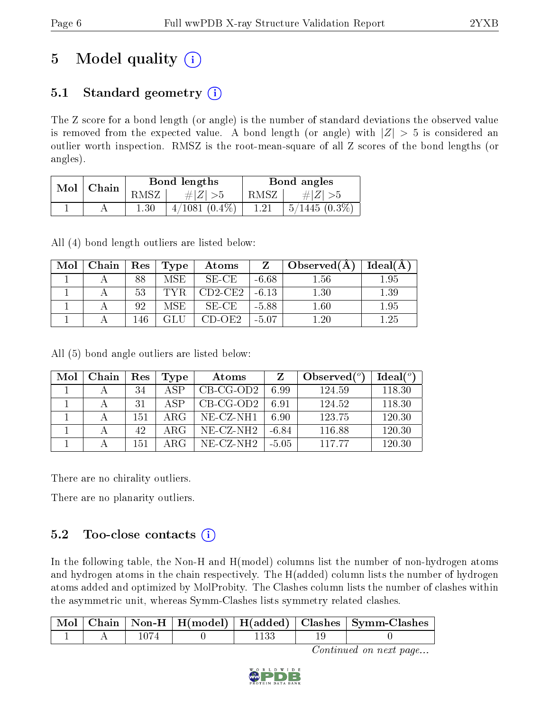# 5 Model quality  $(i)$

### 5.1 Standard geometry  $(i)$

The Z score for a bond length (or angle) is the number of standard deviations the observed value is removed from the expected value. A bond length (or angle) with  $|Z| > 5$  is considered an outlier worth inspection. RMSZ is the root-mean-square of all Z scores of the bond lengths (or angles).

| Mol | Chain |          | Bond lengths       | Bond angles |                  |  |
|-----|-------|----------|--------------------|-------------|------------------|--|
|     |       | RMSZ     | # $ Z  > 5$        | RMSZ        | # $ Z  > 5$      |  |
|     |       | $1.30\,$ | $4/1081$ $(0.4\%)$ | 1.21        | $5/1445$ (0.3\%) |  |

All (4) bond length outliers are listed below:

| Mol | Chain | $\operatorname{Res}$ | Type | Atoms       |         | Observed $(A)$ | Ideal(A) |
|-----|-------|----------------------|------|-------------|---------|----------------|----------|
|     |       | 88                   | MSE. | $SE$ - $CE$ | $-6.68$ | $1.56\,$       | 1.95     |
|     |       | 53                   |      | $CD2-CE2$   | $-6.13$ | 1.30           | 1.39     |
|     |       | 92                   | MSE  | SE-CE       | $-5.88$ | $1.60\,$       | 1.95     |
|     |       | 146                  |      | CD-OE2      | $-5.07$ | $1.20\,$       | 1.25     |

All (5) bond angle outliers are listed below:

| Mol | Chain | Res | Type | Atoms        | Z       | Observed $(^\circ)$ | $Ideal(^o)$ |
|-----|-------|-----|------|--------------|---------|---------------------|-------------|
|     |       | 34  | A SP | $CB-CG-OD2$  | 6.99    | 124.59              | 118.30      |
|     |       | 31  | A SP | $CB-CG-OD2$  | 6.91    | 124.52              | 118.30      |
|     |       | 151 | ARG  | $NE- CZ-NH1$ | 6.90    | 123.75              | 120.30      |
|     |       | 42  | ARG  | $NE- CZ-NH2$ | $-6.84$ | 116.88              | 120.30      |
|     |       | 151 | ARG  | $NE- CZ-NH2$ | -5.05   | 11777               | 120.30      |

There are no chirality outliers.

There are no planarity outliers.

### 5.2 Too-close contacts  $(i)$

In the following table, the Non-H and H(model) columns list the number of non-hydrogen atoms and hydrogen atoms in the chain respectively. The H(added) column lists the number of hydrogen atoms added and optimized by MolProbity. The Clashes column lists the number of clashes within the asymmetric unit, whereas Symm-Clashes lists symmetry related clashes.

|  |  |  | Mol   Chain   Non-H   H(model)   H(added)   Clashes   Symm-Clashes |
|--|--|--|--------------------------------------------------------------------|
|  |  |  |                                                                    |

Continued on next page...

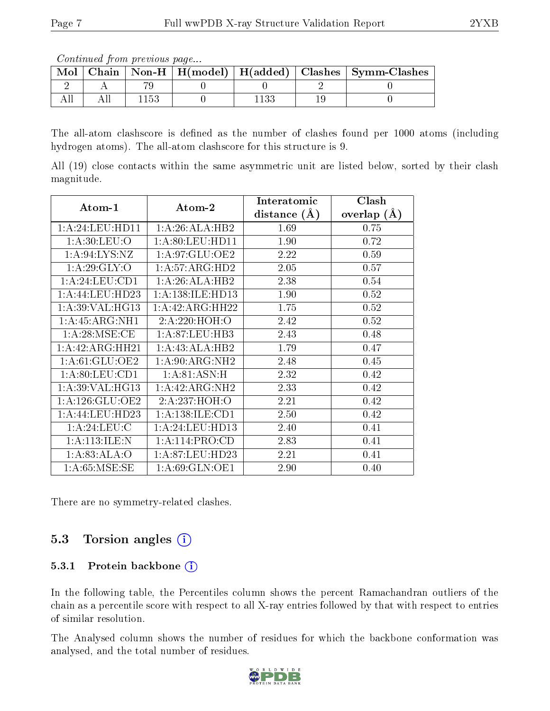Continued from previous page...

| Mol |  |  | Chain   Non-H   H(model)   H(added)   Clashes   Symm-Clashes |
|-----|--|--|--------------------------------------------------------------|
|     |  |  |                                                              |
|     |  |  |                                                              |

The all-atom clashscore is defined as the number of clashes found per 1000 atoms (including hydrogen atoms). The all-atom clashscore for this structure is 9.

All (19) close contacts within the same asymmetric unit are listed below, sorted by their clash magnitude.

| Atom-1             | Atom-2               | Interatomic    | Clash          |  |
|--------------------|----------------------|----------------|----------------|--|
|                    |                      | distance $(A)$ | (A)<br>overlap |  |
| 1:A:24:LEU:HDI1    | 1:A:26:ALA:HB2       | 1.69           | 0.75           |  |
| 1: A:30: LEU:O     | 1: A:80: LEU: HD11   | 1.90           | 0.72           |  |
| 1: A:94: LYS: NZ   | 1:A:97:GLU:OE2       | 2.22           | 0.59           |  |
| 1: A:29: GLY:O     | 1: A:57: ARG:HD2     | 2.05           | 0.57           |  |
| 1:A:24:LEU:CD1     | 1:A:26:ALA:HB2       | 2.38           | 0.54           |  |
| 1:A:44:LEU:HD23    | 1: A: 138: ILE: HD13 | 1.90           | 0.52           |  |
| 1: A:39: VAL:HG13  | 1:A:42:ARG:HH22      | 1.75           | 0.52           |  |
| 1: A: 45: ARG: NH1 | 2:A:220:HOH:O        | 2.42           | 0.52           |  |
| 1: A:28: MSE:CE    | 1: A:87: LEU:HB3     | 2.43           | 0.48           |  |
| 1:A:42:ARG:HH21    | 1:A:43:ALA:HB2       | 1.79           | 0.47           |  |
| 1: A:61: GLU:OE2   | 1: A:90: ARG: NH2    | 2.48           | 0.45           |  |
| 1: A:80:LEU:CD1    | 1:A:81:ASN:H         | 2.32           | 0.42           |  |
| 1: A:39: VAL: HG13 | 1: A: 42: ARG: NH2   | 2.33           | 0.42           |  |
| 1: A:126: GLU:OE2  | 2: A:237:HOH:O       | 2.21           | 0.42           |  |
| 1:A:44:LEU:HD23    | 1: A: 138: ILE: CD1  | 2.50           | 0.42           |  |
| 1: A:24:LEU:C      | 1: A:24:LEU:HD13     | 2.40           | 0.41           |  |
| 1:A:113:ILE:N      | 1:A:114:PRO:CD       | 2.83           | 0.41           |  |
| 1: A:83: ALA:O     | 1: A:87: LEU:HD23    | 2.21           | 0.41           |  |
| 1: A:65: MSE:SE    | 1: A:69: GLN:OE1     | 2.90           | $0.40\,$       |  |

There are no symmetry-related clashes.

### 5.3 Torsion angles (i)

#### 5.3.1 Protein backbone (i)

In the following table, the Percentiles column shows the percent Ramachandran outliers of the chain as a percentile score with respect to all X-ray entries followed by that with respect to entries of similar resolution.

The Analysed column shows the number of residues for which the backbone conformation was analysed, and the total number of residues.

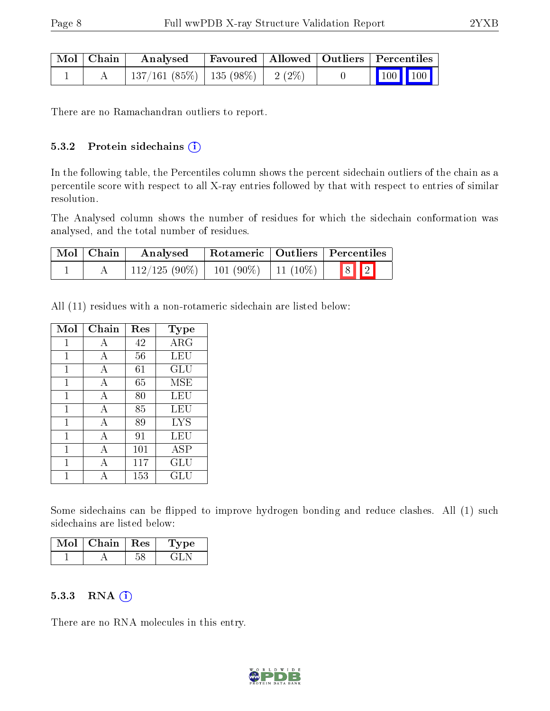| $\mid$ Mol $\mid$ Chain $\mid$ | Analysed                                  |  | Favoured   Allowed   Outliers   Percentiles                                        |
|--------------------------------|-------------------------------------------|--|------------------------------------------------------------------------------------|
|                                | $\mid$ 137/161 (85%)   135 (98%)   2 (2%) |  | $\begin{array}{ c c c c c }\n\hline\n\multicolumn{1}{ c }{100} & 100\n\end{array}$ |

There are no Ramachandran outliers to report.

#### 5.3.2 Protein sidechains (i)

In the following table, the Percentiles column shows the percent sidechain outliers of the chain as a percentile score with respect to all X-ray entries followed by that with respect to entries of similar resolution.

The Analysed column shows the number of residues for which the sidechain conformation was analysed, and the total number of residues.

| $\mid$ Mol $\mid$ Chain | Analysed        | $\,$ Rotameric   Outliers   Percentiles |                         |  |
|-------------------------|-----------------|-----------------------------------------|-------------------------|--|
|                         | $112/125(90\%)$ | $101 (90\%) \mid 11 (10\%)$             | $\boxed{8}$ $\boxed{2}$ |  |

All (11) residues with a non-rotameric sidechain are listed below:

| Mol          | Chain | Res | Type       |
|--------------|-------|-----|------------|
| 1            | А     | 42  | $\rm{ARG}$ |
| 1            | А     | 56  | LEU        |
| 1            | A     | 61  | GLU        |
| $\mathbf{1}$ | A     | 65  | MSE        |
| $\mathbf{1}$ | А     | 80  | LEU        |
| 1            | А     | 85  | LEU        |
| 1            | А     | 89  | <b>LYS</b> |
| 1            | A     | 91  | LEU        |
| 1            | А     | 101 | ASP        |
| 1            | А     | 117 | GLU        |
|              | А     | 153 | GLU        |

Some sidechains can be flipped to improve hydrogen bonding and reduce clashes. All (1) such sidechains are listed below:

| Mol | Chain | $\perp$ $\mathbf{Res}$ | L'ype |
|-----|-------|------------------------|-------|
|     |       |                        |       |

#### 5.3.3 RNA [O](https://www.wwpdb.org/validation/2017/XrayValidationReportHelp#rna)i

There are no RNA molecules in this entry.

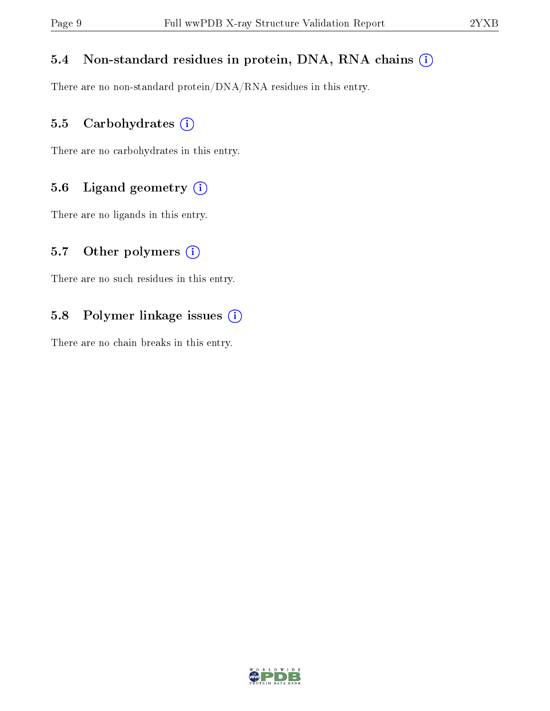### 5.4 Non-standard residues in protein, DNA, RNA chains (i)

There are no non-standard protein/DNA/RNA residues in this entry.

### 5.5 Carbohydrates (i)

There are no carbohydrates in this entry.

### 5.6 Ligand geometry (i)

There are no ligands in this entry.

#### 5.7 [O](https://www.wwpdb.org/validation/2017/XrayValidationReportHelp#nonstandard_residues_and_ligands)ther polymers  $(i)$

There are no such residues in this entry.

### 5.8 Polymer linkage issues (i)

There are no chain breaks in this entry.